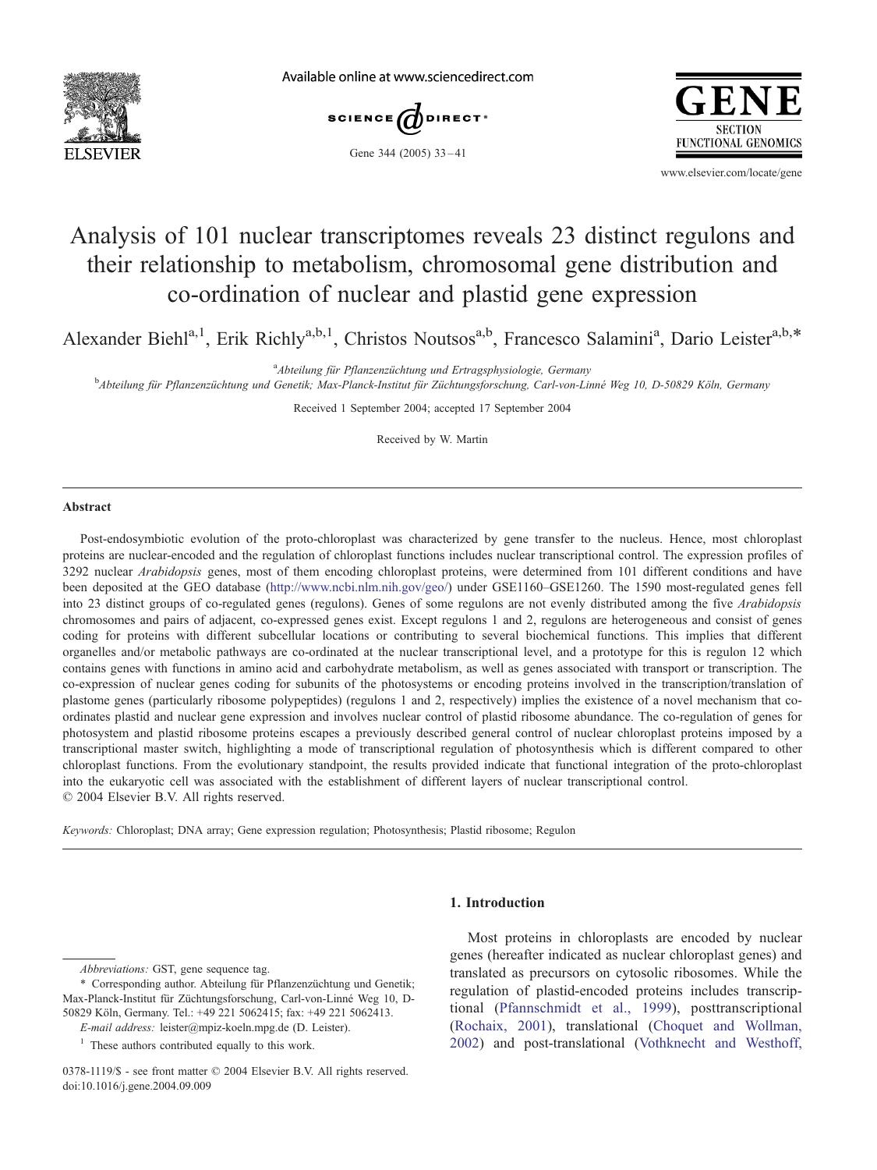

Available online at www.sciencedirect.com



Gene 344 (2005) 33-41



www.elsevier.com/locate/gene

# Analysis of 101 nuclear transcriptomes reveals 23 distinct regulons and their relationship to metabolism, chromosomal gene distribution and co-ordination of nuclear and plastid gene expression

Alexander Biehl<sup>a, 1</sup>, Erik Richly<sup>a, b, 1</sup>, Christos Noutsos<sup>a, b</sup>, Francesco Salamini<sup>a</sup>, Dario Leister<sup>a, b, \*</sup>

<sup>a</sup>Abteilung für Pflanzenzüchtung und Ertragsphysiologie, Germany

<sup>a</sup>Abteilung für Pflanzenzüchtung für Pflanzenzüchtung und Ertragsphysiologie, Germany<br><sup>b</sup>Abteilung für Pflanzenzüchtung und Genetik; Max-Planck-Institut für Züchtungsforschung, Carl-von-Linné Weg 10, D-50829 Köln, Germany

Received 1 September 2004; accepted 17 September 2004

Received by W. Martin

## Abstract

Post-endosymbiotic evolution of the proto-chloroplast was characterized by gene transfer to the nucleus. Hence, most chloroplast proteins are nuclear-encoded and the regulation of chloroplast functions includes nuclear transcriptional control. The expression profiles of 3292 nuclear Arabidopsis genes, most of them encoding chloroplast proteins, were determined from 101 different conditions and have been deposited at the GEO database ([http://www.ncbi.nlm.nih.gov/geo/\)](http://www.ncbi.nlm.nih.gov/geo/) under GSE1160–GSE1260. The 1590 most-regulated genes fell into 23 distinct groups of co-regulated genes (regulons). Genes of some regulons are not evenly distributed among the five Arabidopsis chromosomes and pairs of adjacent, co-expressed genes exist. Except regulons 1 and 2, regulons are heterogeneous and consist of genes coding for proteins with different subcellular locations or contributing to several biochemical functions. This implies that different organelles and/or metabolic pathways are co-ordinated at the nuclear transcriptional level, and a prototype for this is regulon 12 which contains genes with functions in amino acid and carbohydrate metabolism, as well as genes associated with transport or transcription. The co-expression of nuclear genes coding for subunits of the photosystems or encoding proteins involved in the transcription/translation of plastome genes (particularly ribosome polypeptides) (regulons 1 and 2, respectively) implies the existence of a novel mechanism that coordinates plastid and nuclear gene expression and involves nuclear control of plastid ribosome abundance. The co-regulation of genes for photosystem and plastid ribosome proteins escapes a previously described general control of nuclear chloroplast proteins imposed by a transcriptional master switch, highlighting a mode of transcriptional regulation of photosynthesis which is different compared to other chloroplast functions. From the evolutionary standpoint, the results provided indicate that functional integration of the proto-chloroplast into the eukaryotic cell was associated with the establishment of different layers of nuclear transcriptional control.  $© 2004 Elsevier B.V. All rights reserved.$ 

Keywords: Chloroplast; DNA array; Gene expression regulation; Photosynthesis; Plastid ribosome; Regulon

#### 1. Introduction

Most proteins in chloroplasts are encoded by nuclear genes (hereafter indicated as nuclear chloroplast genes) and translated as precursors on cytosolic ribosomes. While the regulation of plastid-encoded proteins includes transcriptional ([Pfannschmidt et al., 1999\)](#page-8-0), posttranscriptional ([Rochaix, 2001\)](#page-8-0), translational ([Choquet and Wollman,](#page-7-0) 2002) and post-translational ([Vothknecht and Westhoff,](#page-8-0)

Abbreviations: GST, gene sequence tag.

<sup>\*</sup> Corresponding author. Abteilung für Pflanzenzüchtung und Genetik; Max-Planck-Institut für Züchtungsforschung, Carl-von-Linné Weg 10, D-50829 Köln, Germany. Tel.: +49 221 5062415; fax: +49 221 5062413.

E-mail address: leister@mpiz-koeln.mpg.de (D. Leister).

 $<sup>1</sup>$  These authors contributed equally to this work.</sup>

<sup>0378-1119/\$ -</sup> see front matter © 2004 Elsevier B.V. All rights reserved. doi:10.1016/j.gene.2004.09.009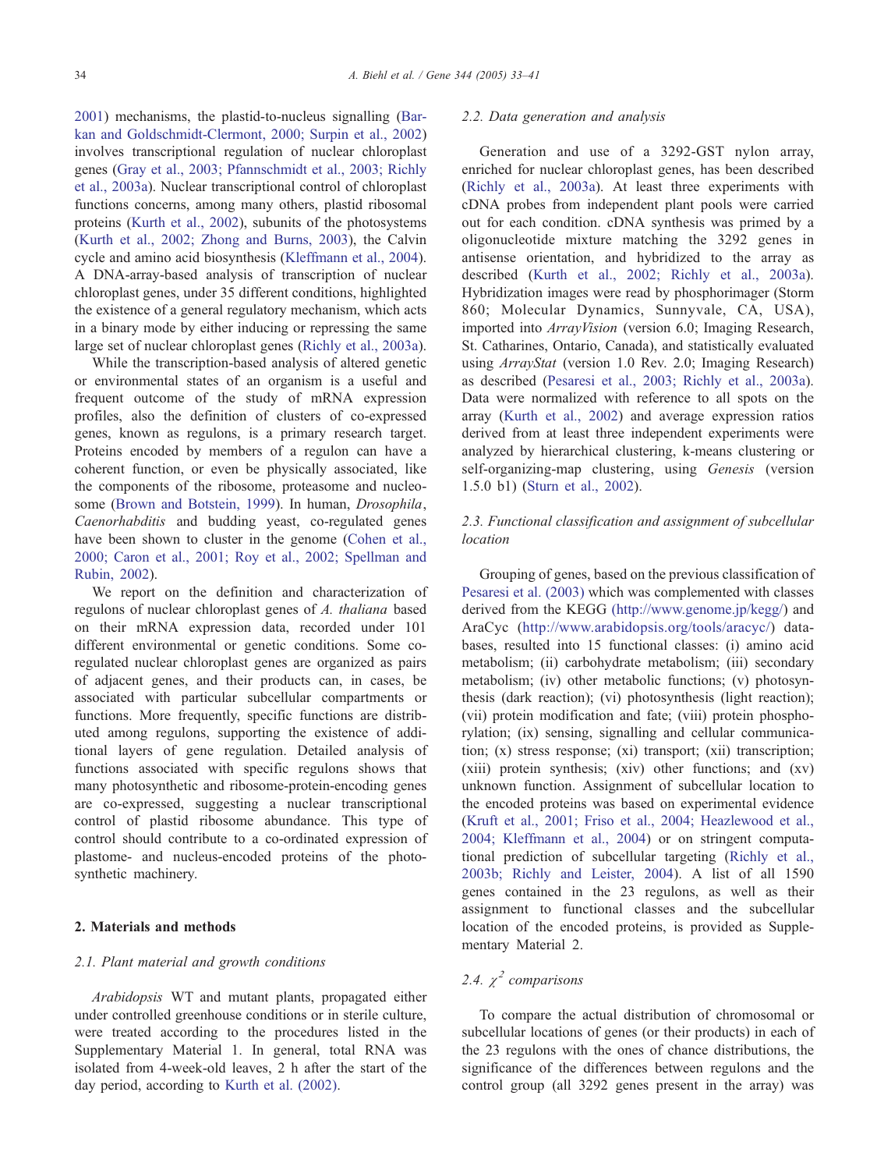2001) mechanisms, the plastid-to-nucleus signalling ([Bar](#page-7-0)kan and Goldschmidt-Clermont, 2000; Surpin et al., 2002) involves transcriptional regulation of nuclear chloroplast genes ([Gray et al., 2003; Pfannschmidt et al., 2003; Richly](#page-7-0) et al., 2003a). Nuclear transcriptional control of chloroplast functions concerns, among many others, plastid ribosomal proteins ([Kurth et al., 2002\)](#page-8-0), subunits of the photosystems ([Kurth et al., 2002; Zhong and Burns, 2003\)](#page-8-0), the Calvin cycle and amino acid biosynthesis ([Kleffmann et al., 2004\)](#page-8-0). A DNA-array-based analysis of transcription of nuclear chloroplast genes, under 35 different conditions, highlighted the existence of a general regulatory mechanism, which acts in a binary mode by either inducing or repressing the same large set of nuclear chloroplast genes ([Richly et al., 2003a\)](#page-8-0).

While the transcription-based analysis of altered genetic or environmental states of an organism is a useful and frequent outcome of the study of mRNA expression profiles, also the definition of clusters of co-expressed genes, known as regulons, is a primary research target. Proteins encoded by members of a regulon can have a coherent function, or even be physically associated, like the components of the ribosome, proteasome and nucleosome ([Brown and Botstein, 1999\)](#page-7-0). In human, Drosophila, Caenorhabditis and budding yeast, co-regulated genes have been shown to cluster in the genome ([Cohen et al.,](#page-7-0) 2000; Caron et al., 2001; Roy et al., 2002; Spellman and Rubin, 2002).

We report on the definition and characterization of regulons of nuclear chloroplast genes of A. thaliana based on their mRNA expression data, recorded under 101 different environmental or genetic conditions. Some coregulated nuclear chloroplast genes are organized as pairs of adjacent genes, and their products can, in cases, be associated with particular subcellular compartments or functions. More frequently, specific functions are distributed among regulons, supporting the existence of additional layers of gene regulation. Detailed analysis of functions associated with specific regulons shows that many photosynthetic and ribosome-protein-encoding genes are co-expressed, suggesting a nuclear transcriptional control of plastid ribosome abundance. This type of control should contribute to a co-ordinated expression of plastome- and nucleus-encoded proteins of the photosynthetic machinery.

## 2. Materials and methods

#### 2.1. Plant material and growth conditions

Arabidopsis WT and mutant plants, propagated either under controlled greenhouse conditions or in sterile culture, were treated according to the procedures listed in the Supplementary Material 1. In general, total RNA was isolated from 4-week-old leaves, 2 h after the start of the day period, according to [Kurth et al. \(2002\).](#page-8-0)

#### 2.2. Data generation and analysis

Generation and use of a 3292-GST nylon array, enriched for nuclear chloroplast genes, has been described ([Richly et al., 2003a\)](#page-8-0). At least three experiments with cDNA probes from independent plant pools were carried out for each condition. cDNA synthesis was primed by a oligonucleotide mixture matching the 3292 genes in antisense orientation, and hybridized to the array as described ([Kurth et al., 2002; Richly et al., 2003a\)](#page-8-0). Hybridization images were read by phosphorimager (Storm 860; Molecular Dynamics, Sunnyvale, CA, USA), imported into ArrayVision (version 6.0; Imaging Research, St. Catharines, Ontario, Canada), and statistically evaluated using ArrayStat (version 1.0 Rev. 2.0; Imaging Research) as described ([Pesaresi et al., 2003; Richly et al., 2003a\)](#page-8-0). Data were normalized with reference to all spots on the array ([Kurth et al., 2002\)](#page-8-0) and average expression ratios derived from at least three independent experiments were analyzed by hierarchical clustering, k-means clustering or self-organizing-map clustering, using Genesis (version 1.5.0 b1) ([Sturn et al., 2002\)](#page-8-0).

## 2.3. Functional classification and assignment of subcellular location

Grouping of genes, based on the previous classification of [Pesaresi et al. \(2003\)](#page-8-0) which was complemented with classes derived from the KEGG [\(http://www.genome.jp/kegg/\)](http:(http://www.genome.jp/kegg/) and AraCyc ([http://www.arabidopsis.org/tools/aracyc/\)](http://www.arabidopsis.org/tools/aracyc/) databases, resulted into 15 functional classes: (i) amino acid metabolism; (ii) carbohydrate metabolism; (iii) secondary metabolism; (iv) other metabolic functions; (v) photosynthesis (dark reaction); (vi) photosynthesis (light reaction); (vii) protein modification and fate; (viii) protein phosphorylation; (ix) sensing, signalling and cellular communication; (x) stress response; (xi) transport; (xii) transcription; (xiii) protein synthesis; (xiv) other functions; and (xv) unknown function. Assignment of subcellular location to the encoded proteins was based on experimental evidence ([Kruft et al., 2001; Friso et al., 2004; Heazlewood et al.,](#page-8-0) 2004; Kleffmann et al., 2004) or on stringent computational prediction of subcellular targeting ([Richly et al.,](#page-8-0) 2003b; Richly and Leister, 2004). A list of all 1590 genes contained in the 23 regulons, as well as their assignment to functional classes and the subcellular location of the encoded proteins, is provided as Supplementary Material 2.

# 2.4.  $\chi^2$  comparisons

To compare the actual distribution of chromosomal or subcellular locations of genes (or their products) in each of the 23 regulons with the ones of chance distributions, the significance of the differences between regulons and the control group (all 3292 genes present in the array) was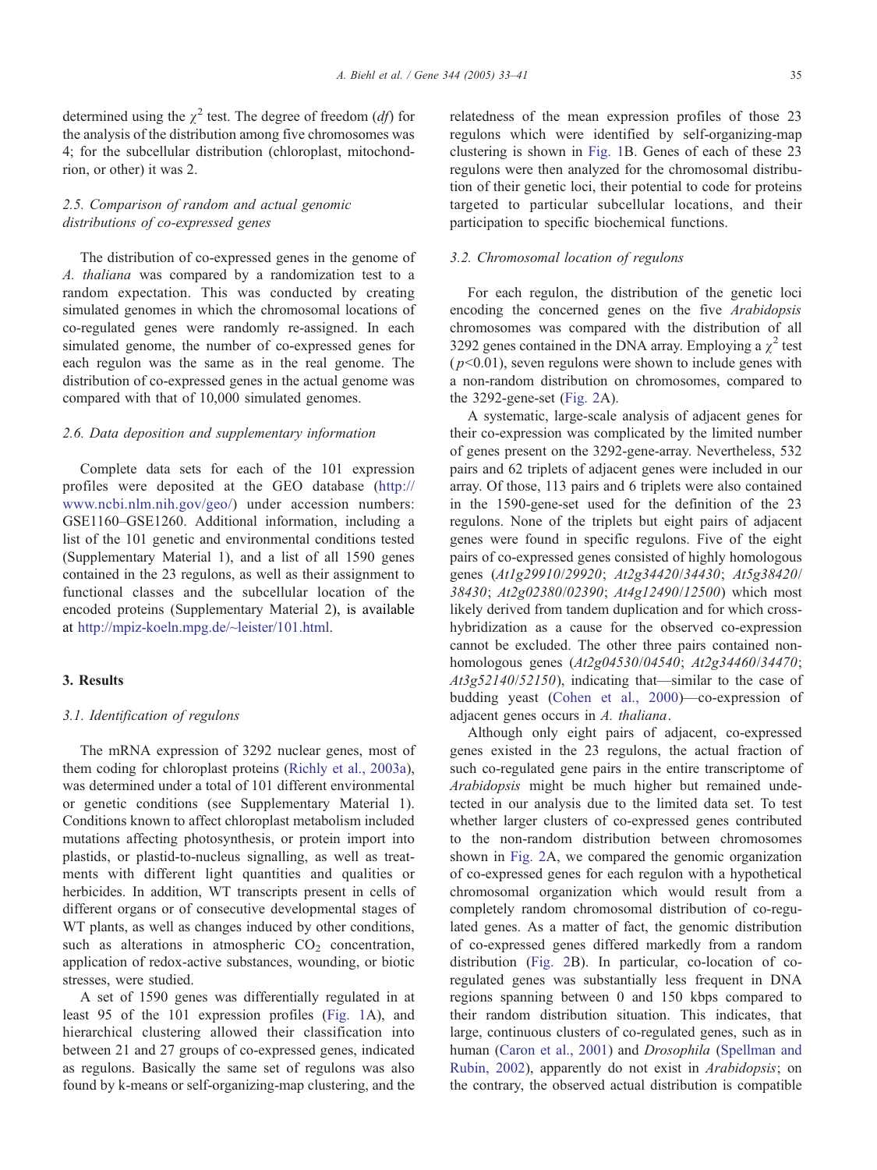determined using the  $\chi^2$  test. The degree of freedom (*df*) for the analysis of the distribution among five chromosomes was 4; for the subcellular distribution (chloroplast, mitochondrion, or other) it was 2.

# 2.5. Comparison of random and actual genomic distributions of co-expressed genes

The distribution of co-expressed genes in the genome of A. thaliana was compared by a randomization test to a random expectation. This was conducted by creating simulated genomes in which the chromosomal locations of co-regulated genes were randomly re-assigned. In each simulated genome, the number of co-expressed genes for each regulon was the same as in the real genome. The distribution of co-expressed genes in the actual genome was compared with that of 10,000 simulated genomes.

## 2.6. Data deposition and supplementary information

Complete data sets for each of the 101 expression profiles were deposited at the GEO database ([http://](http://www.ncbi.nlm.nih.gov/geo/) www.ncbi.nlm.nih.gov/geo/) under accession numbers: GSE1160–GSE1260. Additional information, including a list of the 101 genetic and environmental conditions tested (Supplementary Material 1), and a list of all 1590 genes contained in the 23 regulons, as well as their assignment to functional classes and the subcellular location of the encoded proteins (Supplementary Material 2), is available at [http://mpiz-koeln.mpg.de/~leister/101.html.](http://mpiz-koeln.mpg.de/~leister/101.html)

# 3. Results

## 3.1. Identification of regulons

The mRNA expression of 3292 nuclear genes, most of them coding for chloroplast proteins ([Richly et al., 2003a\)](#page-8-0), was determined under a total of 101 different environmental or genetic conditions (see Supplementary Material 1). Conditions known to affect chloroplast metabolism included mutations affecting photosynthesis, or protein import into plastids, or plastid-to-nucleus signalling, as well as treatments with different light quantities and qualities or herbicides. In addition, WT transcripts present in cells of different organs or of consecutive developmental stages of WT plants, as well as changes induced by other conditions, such as alterations in atmospheric  $CO<sub>2</sub>$  concentration, application of redox-active substances, wounding, or biotic stresses, were studied.

A set of 1590 genes was differentially regulated in at least 95 of the 101 expression profiles ([Fig. 1A](#page-3-0)), and hierarchical clustering allowed their classification into between 21 and 27 groups of co-expressed genes, indicated as regulons. Basically the same set of regulons was also found by k-means or self-organizing-map clustering, and the relatedness of the mean expression profiles of those 23 regulons which were identified by self-organizing-map clustering is shown in [Fig. 1B](#page-3-0). Genes of each of these 23 regulons were then analyzed for the chromosomal distribution of their genetic loci, their potential to code for proteins targeted to particular subcellular locations, and their participation to specific biochemical functions.

#### 3.2. Chromosomal location of regulons

For each regulon, the distribution of the genetic loci encoding the concerned genes on the five Arabidopsis chromosomes was compared with the distribution of all 3292 genes contained in the DNA array. Employing a  $\chi^2$  test  $(p<0.01)$ , seven regulons were shown to include genes with a non-random distribution on chromosomes, compared to the 3292-gene-set ([Fig. 2A](#page-4-0)).

A systematic, large-scale analysis of adjacent genes for their co-expression was complicated by the limited number of genes present on the 3292-gene-array. Nevertheless, 532 pairs and 62 triplets of adjacent genes were included in our array. Of those, 113 pairs and 6 triplets were also contained in the 1590-gene-set used for the definition of the 23 regulons. None of the triplets but eight pairs of adjacent genes were found in specific regulons. Five of the eight pairs of co-expressed genes consisted of highly homologous genes (At1g29910/29920; At2g34420/34430; At5g38420/ 38430; At2g02380/02390; At4g12490/12500) which most likely derived from tandem duplication and for which crosshybridization as a cause for the observed co-expression cannot be excluded. The other three pairs contained nonhomologous genes (At2g04530/04540; At2g34460/34470; At3g52140/52150), indicating that—similar to the case of budding yeast ([Cohen et al., 2000\)](#page-7-0)—co-expression of adjacent genes occurs in A. thaliana.

Although only eight pairs of adjacent, co-expressed genes existed in the 23 regulons, the actual fraction of such co-regulated gene pairs in the entire transcriptome of Arabidopsis might be much higher but remained undetected in our analysis due to the limited data set. To test whether larger clusters of co-expressed genes contributed to the non-random distribution between chromosomes shown in [Fig. 2A](#page-4-0), we compared the genomic organization of co-expressed genes for each regulon with a hypothetical chromosomal organization which would result from a completely random chromosomal distribution of co-regulated genes. As a matter of fact, the genomic distribution of co-expressed genes differed markedly from a random distribution ([Fig. 2B](#page-4-0)). In particular, co-location of coregulated genes was substantially less frequent in DNA regions spanning between 0 and 150 kbps compared to their random distribution situation. This indicates, that large, continuous clusters of co-regulated genes, such as in human ([Caron et al., 2001\)](#page-7-0) and *Drosophila* ([Spellman and](#page-8-0) Rubin, 2002), apparently do not exist in Arabidopsis; on the contrary, the observed actual distribution is compatible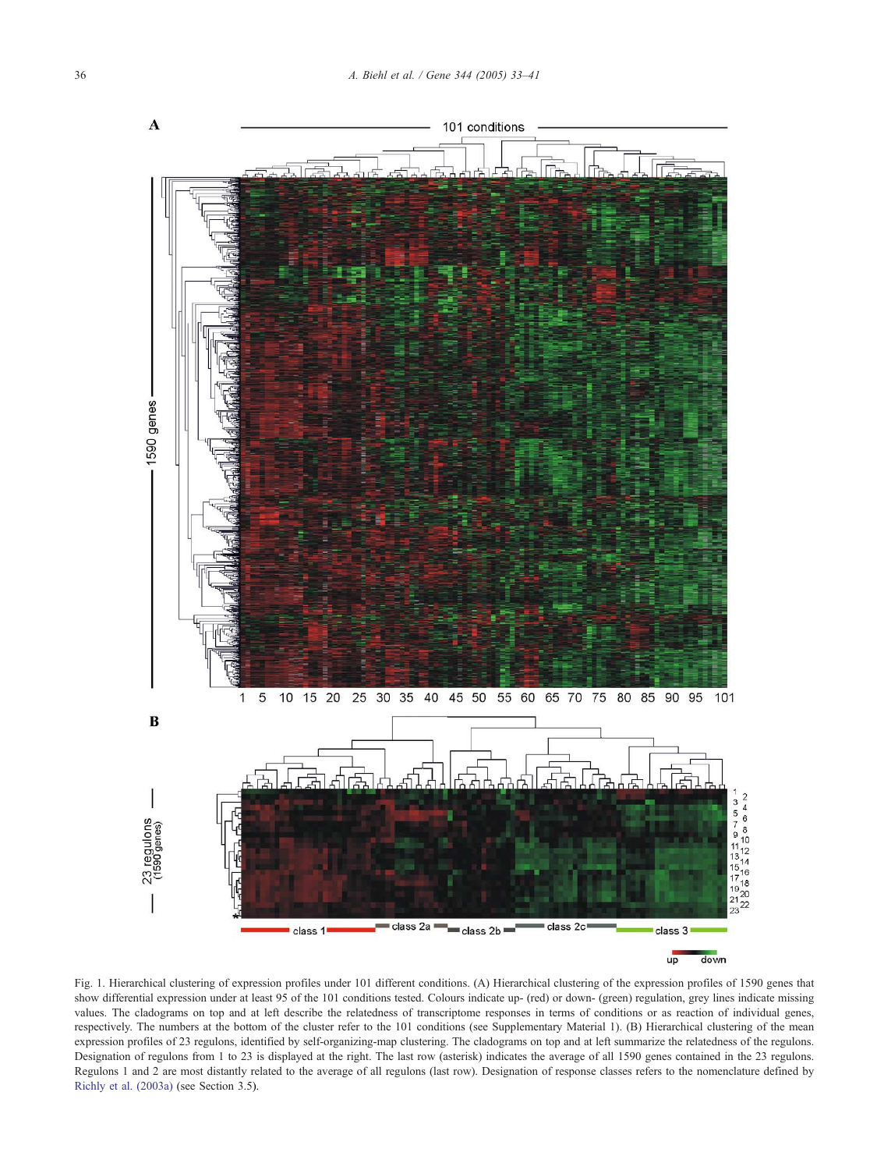<span id="page-3-0"></span>

Fig. 1. Hierarchical clustering of expression profiles under 101 different conditions. (A) Hierarchical clustering of the expression profiles of 1590 genes that show differential expression under at least 95 of the 101 conditions tested. Colours indicate up- (red) or down- (green) regulation, grey lines indicate missing values. The cladograms on top and at left describe the relatedness of transcriptome responses in terms of conditions or as reaction of individual genes, respectively. The numbers at the bottom of the cluster refer to the 101 conditions (see Supplementary Material 1). (B) Hierarchical clustering of the mean expression profiles of 23 regulons, identified by self-organizing-map clustering. The cladograms on top and at left summarize the relatedness of the regulons. Designation of regulons from 1 to 23 is displayed at the right. The last row (asterisk) indicates the average of all 1590 genes contained in the 23 regulons. Regulons 1 and 2 are most distantly related to the average of all regulons (last row). Designation of response classes refers to the nomenclature defined by [Richly et al. \(2003a\)](#page-8-0) (see Section 3.5).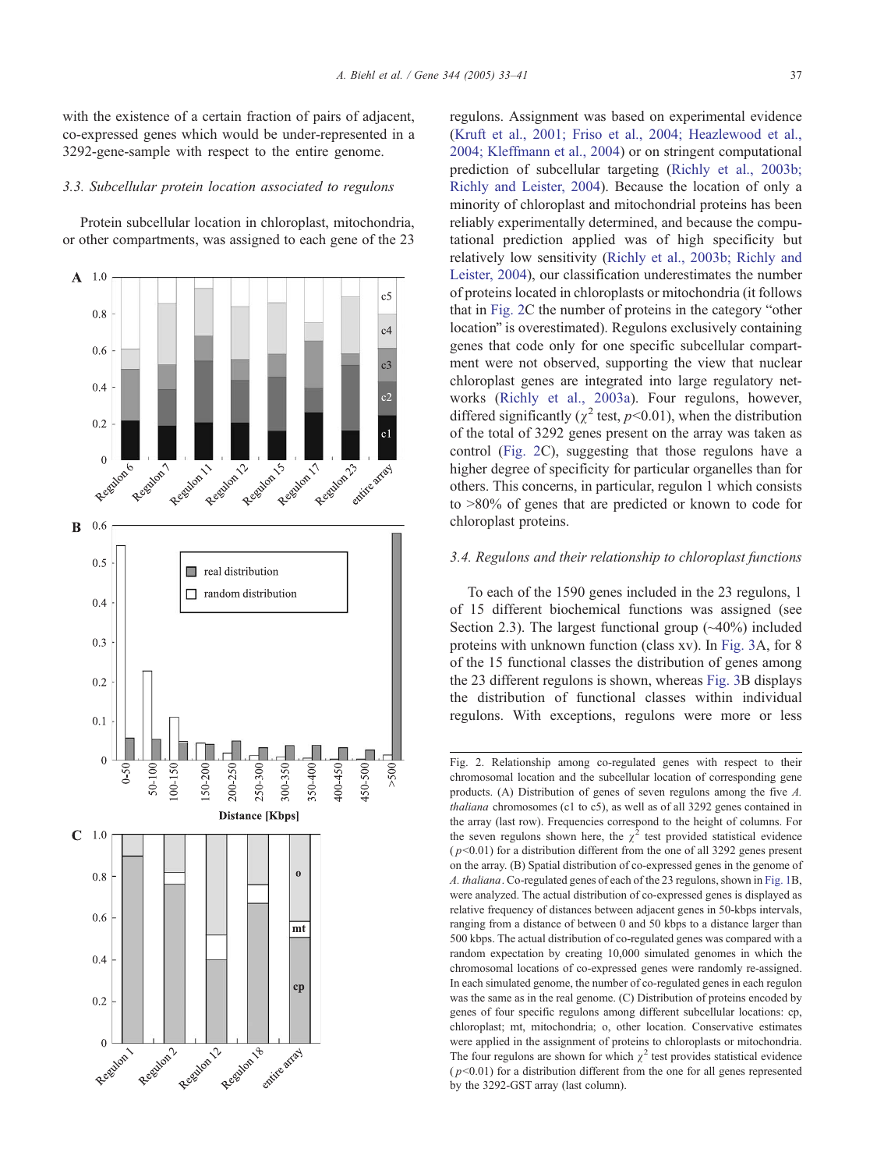<span id="page-4-0"></span>with the existence of a certain fraction of pairs of adjacent, co-expressed genes which would be under-represented in a 3292-gene-sample with respect to the entire genome.

#### 3.3. Subcellular protein location associated to regulons

Protein subcellular location in chloroplast, mitochondria, or other compartments, was assigned to each gene of the 23



regulons. Assignment was based on experimental evidence ([Kruft et al., 2001; Friso et al., 2004; Heazlewood et al.,](#page-8-0) 2004; Kleffmann et al., 2004) or on stringent computational prediction of subcellular targeting ([Richly et al., 2003b;](#page-8-0) Richly and Leister, 2004). Because the location of only a minority of chloroplast and mitochondrial proteins has been reliably experimentally determined, and because the computational prediction applied was of high specificity but relatively low sensitivity ([Richly et al., 2003b; Richly and](#page-8-0) Leister, 2004), our classification underestimates the number of proteins located in chloroplasts or mitochondria (it follows that in Fig.  $2C$  the number of proteins in the category "other location" is overestimated). Regulons exclusively containing genes that code only for one specific subcellular compartment were not observed, supporting the view that nuclear chloroplast genes are integrated into large regulatory networks ([Richly et al., 2003a\)](#page-8-0). Four regulons, however, differed significantly ( $\chi^2$  test,  $p<0.01$ ), when the distribution of the total of 3292 genes present on the array was taken as control (Fig. 2C), suggesting that those regulons have a higher degree of specificity for particular organelles than for others. This concerns, in particular, regulon 1 which consists to  $>80\%$  of genes that are predicted or known to code for chloroplast proteins.

## 3.4. Regulons and their relationship to chloroplast functions

To each of the 1590 genes included in the 23 regulons, 1 of 15 different biochemical functions was assigned (see Section 2.3). The largest functional group  $(\sim40\%)$  included proteins with unknown function (class xv). In [Fig. 3A](#page-5-0), for 8 of the 15 functional classes the distribution of genes among the 23 different regulons is shown, whereas [Fig. 3B](#page-5-0) displays the distribution of functional classes within individual regulons. With exceptions, regulons were more or less

Fig. 2. Relationship among co-regulated genes with respect to their chromosomal location and the subcellular location of corresponding gene products. (A) Distribution of genes of seven regulons among the five A. thaliana chromosomes (c1 to c5), as well as of all 3292 genes contained in the array (last row). Frequencies correspond to the height of columns. For the seven regulons shown here, the  $\chi^2$  test provided statistical evidence ( $p<0.01$ ) for a distribution different from the one of all 3292 genes present on the array. (B) Spatial distribution of co-expressed genes in the genome of A. thaliana. Co-regulated genes of each of the 23 regulons, shown in [Fig. 1B](#page-3-0), were analyzed. The actual distribution of co-expressed genes is displayed as relative frequency of distances between adjacent genes in 50-kbps intervals, ranging from a distance of between 0 and 50 kbps to a distance larger than 500 kbps. The actual distribution of co-regulated genes was compared with a random expectation by creating 10,000 simulated genomes in which the chromosomal locations of co-expressed genes were randomly re-assigned. In each simulated genome, the number of co-regulated genes in each regulon was the same as in the real genome. (C) Distribution of proteins encoded by genes of four specific regulons among different subcellular locations: cp, chloroplast; mt, mitochondria; o, other location. Conservative estimates were applied in the assignment of proteins to chloroplasts or mitochondria. The four regulons are shown for which  $\gamma^2$  test provides statistical evidence  $(p<0.01)$  for a distribution different from the one for all genes represented by the 3292-GST array (last column).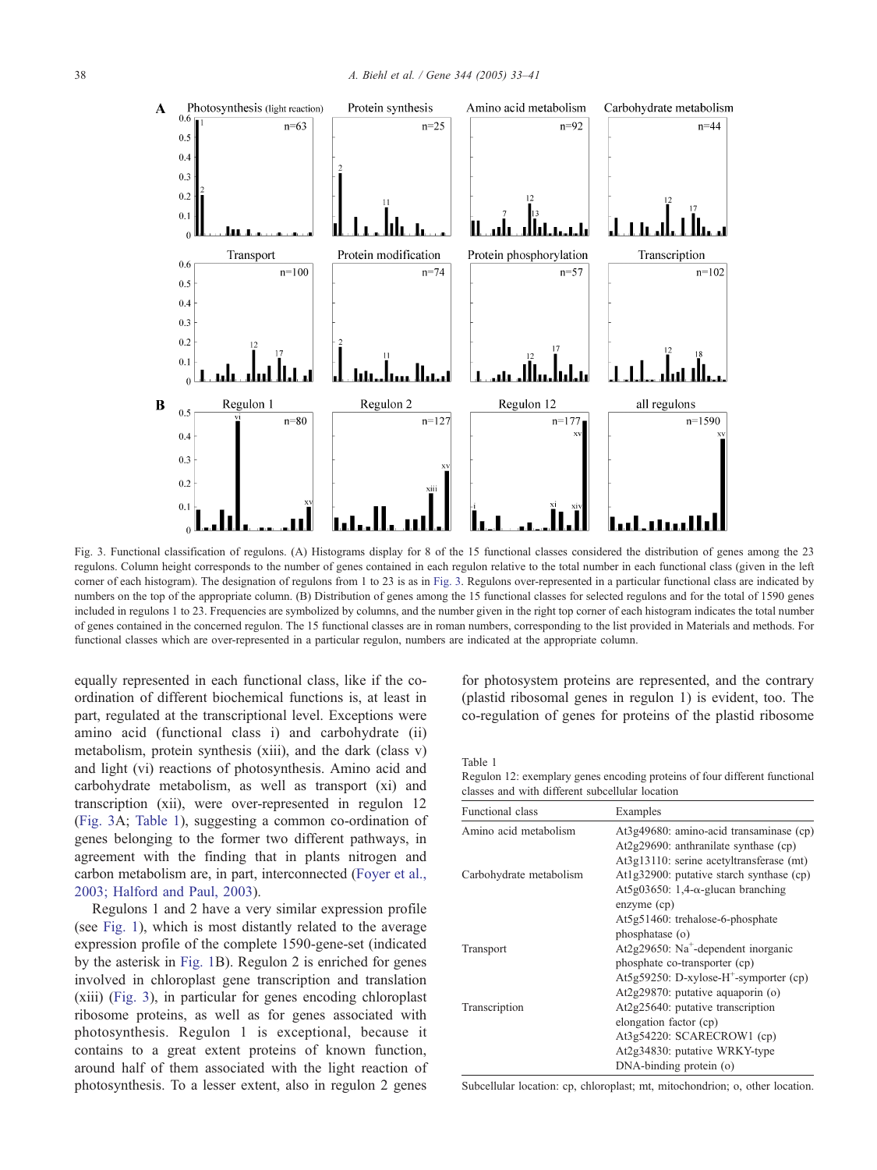<span id="page-5-0"></span>

Fig. 3. Functional classification of regulons. (A) Histograms display for 8 of the 15 functional classes considered the distribution of genes among the 23 regulons. Column height corresponds to the number of genes contained in each regulon relative to the total number in each functional class (given in the left corner of each histogram). The designation of regulons from 1 to 23 is as in Fig. 3. Regulons over-represented in a particular functional class are indicated by numbers on the top of the appropriate column. (B) Distribution of genes among the 15 functional classes for selected regulons and for the total of 1590 genes included in regulons 1 to 23. Frequencies are symbolized by columns, and the number given in the right top corner of each histogram indicates the total number of genes contained in the concerned regulon. The 15 functional classes are in roman numbers, corresponding to the list provided in Materials and methods. For functional classes which are over-represented in a particular regulon, numbers are indicated at the appropriate column.

equally represented in each functional class, like if the coordination of different biochemical functions is, at least in part, regulated at the transcriptional level. Exceptions were amino acid (functional class i) and carbohydrate (ii) metabolism, protein synthesis (xiii), and the dark (class v) and light (vi) reactions of photosynthesis. Amino acid and carbohydrate metabolism, as well as transport (xi) and transcription (xii), were over-represented in regulon 12 (Fig. 3A; Table 1), suggesting a common co-ordination of genes belonging to the former two different pathways, in agreement with the finding that in plants nitrogen and carbon metabolism are, in part, interconnected ([Foyer et al.,](#page-7-0) 2003; Halford and Paul, 2003).

Regulons 1 and 2 have a very similar expression profile (see [Fig. 1\)](#page-3-0), which is most distantly related to the average expression profile of the complete 1590-gene-set (indicated by the asterisk in [Fig. 1B](#page-3-0)). Regulon 2 is enriched for genes involved in chloroplast gene transcription and translation (xiii) (Fig. 3), in particular for genes encoding chloroplast ribosome proteins, as well as for genes associated with photosynthesis. Regulon 1 is exceptional, because it contains to a great extent proteins of known function, around half of them associated with the light reaction of photosynthesis. To a lesser extent, also in regulon 2 genes

for photosystem proteins are represented, and the contrary (plastid ribosomal genes in regulon 1) is evident, too. The co-regulation of genes for proteins of the plastid ribosome

Table 1

Regulon 12: exemplary genes encoding proteins of four different functional classes and with different subcellular location

| Functional class        | Examples                                                                                                                        |
|-------------------------|---------------------------------------------------------------------------------------------------------------------------------|
| Amino acid metabolism   | At3g49680: amino-acid transaminase (cp)<br>$At2g29690$ : anthranilate synthase (cp)<br>At3g13110: serine acetyltransferase (mt) |
| Carbohydrate metabolism | At1g32900: putative starch synthase (cp)<br>At5g03650: 1,4- $\alpha$ -glucan branching<br>enzyme (cp)                           |
|                         | At5g51460: trehalose-6-phosphate                                                                                                |
| Transport               | phosphatase (o)<br>At2g29650: Na <sup>+</sup> -dependent inorganic<br>phosphate co-transporter (cp)                             |
|                         | At5g59250: D-xylose- $H^+$ -symporter (cp)<br>At2g29870: putative aquaporin (o)                                                 |
| Transcription           | At2g25640: putative transcription<br>elongation factor (cp)                                                                     |
|                         | At3g54220: SCARECROW1 (cp)                                                                                                      |
|                         | At2g34830: putative WRKY-type                                                                                                   |
|                         | $DNA$ -binding protein $(o)$                                                                                                    |

Subcellular location: cp, chloroplast; mt, mitochondrion; o, other location.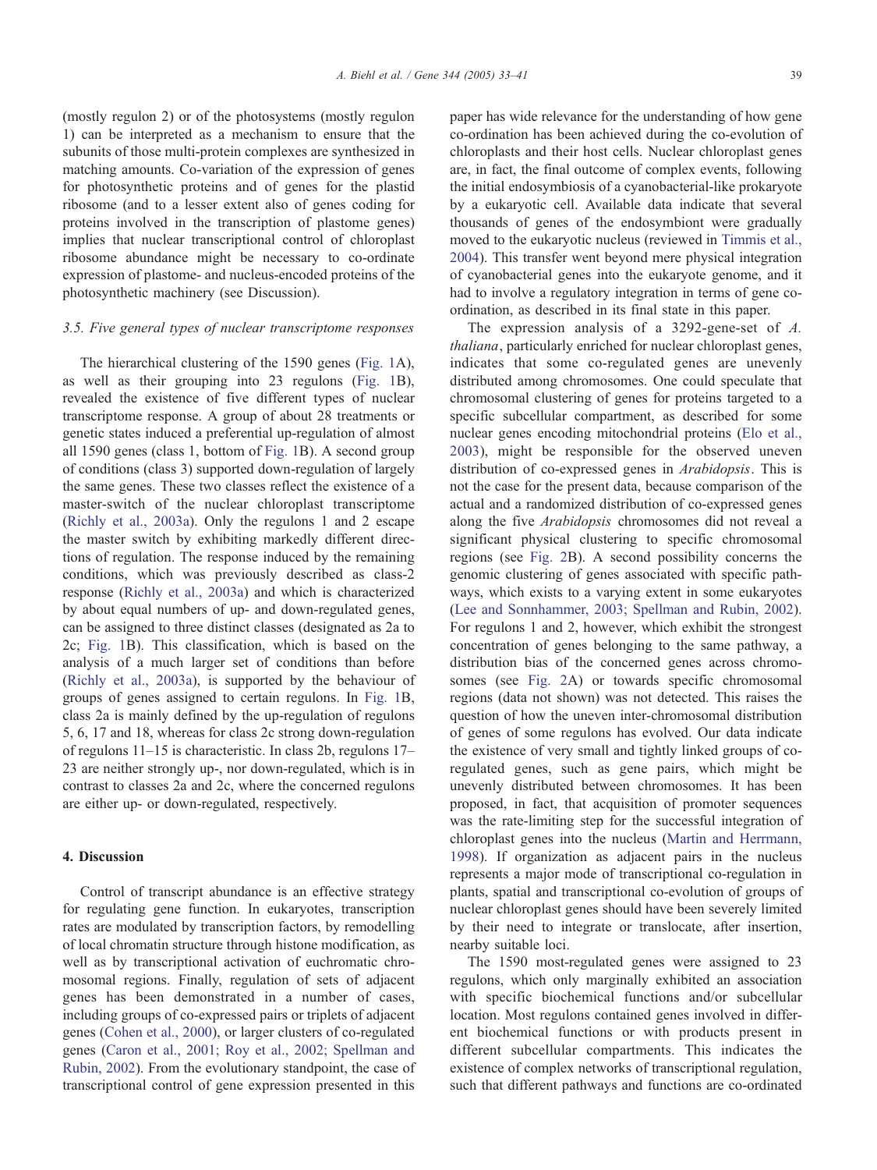(mostly regulon 2) or of the photosystems (mostly regulon 1) can be interpreted as a mechanism to ensure that the subunits of those multi-protein complexes are synthesized in matching amounts. Co-variation of the expression of genes for photosynthetic proteins and of genes for the plastid ribosome (and to a lesser extent also of genes coding for proteins involved in the transcription of plastome genes) implies that nuclear transcriptional control of chloroplast ribosome abundance might be necessary to co-ordinate expression of plastome- and nucleus-encoded proteins of the photosynthetic machinery (see Discussion).

## 3.5. Five general types of nuclear transcriptome responses

The hierarchical clustering of the 1590 genes ([Fig. 1A](#page-3-0)), as well as their grouping into 23 regulons ([Fig. 1B](#page-3-0)), revealed the existence of five different types of nuclear transcriptome response. A group of about 28 treatments or genetic states induced a preferential up-regulation of almost all 1590 genes (class 1, bottom of [Fig. 1B](#page-3-0)). A second group of conditions (class 3) supported down-regulation of largely the same genes. These two classes reflect the existence of a master-switch of the nuclear chloroplast transcriptome ([Richly et al., 2003a\)](#page-8-0). Only the regulons 1 and 2 escape the master switch by exhibiting markedly different directions of regulation. The response induced by the remaining conditions, which was previously described as class-2 response ([Richly et al., 2003a\)](#page-8-0) and which is characterized by about equal numbers of up- and down-regulated genes, can be assigned to three distinct classes (designated as 2a to 2c; [Fig. 1B](#page-3-0)). This classification, which is based on the analysis of a much larger set of conditions than before ([Richly et al., 2003a\)](#page-8-0), is supported by the behaviour of groups of genes assigned to certain regulons. In [Fig. 1B](#page-3-0), class 2a is mainly defined by the up-regulation of regulons 5, 6, 17 and 18, whereas for class 2c strong down-regulation of regulons 11–15 is characteristic. In class 2b, regulons 17– 23 are neither strongly up-, nor down-regulated, which is in contrast to classes 2a and 2c, where the concerned regulons are either up- or down-regulated, respectively.

## 4. Discussion

Control of transcript abundance is an effective strategy for regulating gene function. In eukaryotes, transcription rates are modulated by transcription factors, by remodelling of local chromatin structure through histone modification, as well as by transcriptional activation of euchromatic chromosomal regions. Finally, regulation of sets of adjacent genes has been demonstrated in a number of cases, including groups of co-expressed pairs or triplets of adjacent genes ([Cohen et al., 2000\)](#page-7-0), or larger clusters of co-regulated genes [\(Caron et al., 2001; Roy et al., 2002; Spellman and](#page-7-0) Rubin, 2002). From the evolutionary standpoint, the case of transcriptional control of gene expression presented in this

paper has wide relevance for the understanding of how gene co-ordination has been achieved during the co-evolution of chloroplasts and their host cells. Nuclear chloroplast genes are, in fact, the final outcome of complex events, following the initial endosymbiosis of a cyanobacterial-like prokaryote by a eukaryotic cell. Available data indicate that several thousands of genes of the endosymbiont were gradually moved to the eukaryotic nucleus (reviewed in [Timmis et al.,](#page-8-0) 2004). This transfer went beyond mere physical integration of cyanobacterial genes into the eukaryote genome, and it had to involve a regulatory integration in terms of gene coordination, as described in its final state in this paper.

The expression analysis of a 3292-gene-set of A. thaliana, particularly enriched for nuclear chloroplast genes, indicates that some co-regulated genes are unevenly distributed among chromosomes. One could speculate that chromosomal clustering of genes for proteins targeted to a specific subcellular compartment, as described for some nuclear genes encoding mitochondrial proteins ([Elo et al.,](#page-7-0) 2003), might be responsible for the observed uneven distribution of co-expressed genes in Arabidopsis. This is not the case for the present data, because comparison of the actual and a randomized distribution of co-expressed genes along the five Arabidopsis chromosomes did not reveal a significant physical clustering to specific chromosomal regions (see [Fig. 2B](#page-4-0)). A second possibility concerns the genomic clustering of genes associated with specific pathways, which exists to a varying extent in some eukaryotes ([Lee and Sonnhammer, 2003; Spellman and Rubin, 2002\)](#page-8-0). For regulons 1 and 2, however, which exhibit the strongest concentration of genes belonging to the same pathway, a distribution bias of the concerned genes across chromosomes (see [Fig. 2A](#page-4-0)) or towards specific chromosomal regions (data not shown) was not detected. This raises the question of how the uneven inter-chromosomal distribution of genes of some regulons has evolved. Our data indicate the existence of very small and tightly linked groups of coregulated genes, such as gene pairs, which might be unevenly distributed between chromosomes. It has been proposed, in fact, that acquisition of promoter sequences was the rate-limiting step for the successful integration of chloroplast genes into the nucleus ([Martin and Herrmann,](#page-8-0) 1998). If organization as adjacent pairs in the nucleus represents a major mode of transcriptional co-regulation in plants, spatial and transcriptional co-evolution of groups of nuclear chloroplast genes should have been severely limited by their need to integrate or translocate, after insertion, nearby suitable loci.

The 1590 most-regulated genes were assigned to 23 regulons, which only marginally exhibited an association with specific biochemical functions and/or subcellular location. Most regulons contained genes involved in different biochemical functions or with products present in different subcellular compartments. This indicates the existence of complex networks of transcriptional regulation, such that different pathways and functions are co-ordinated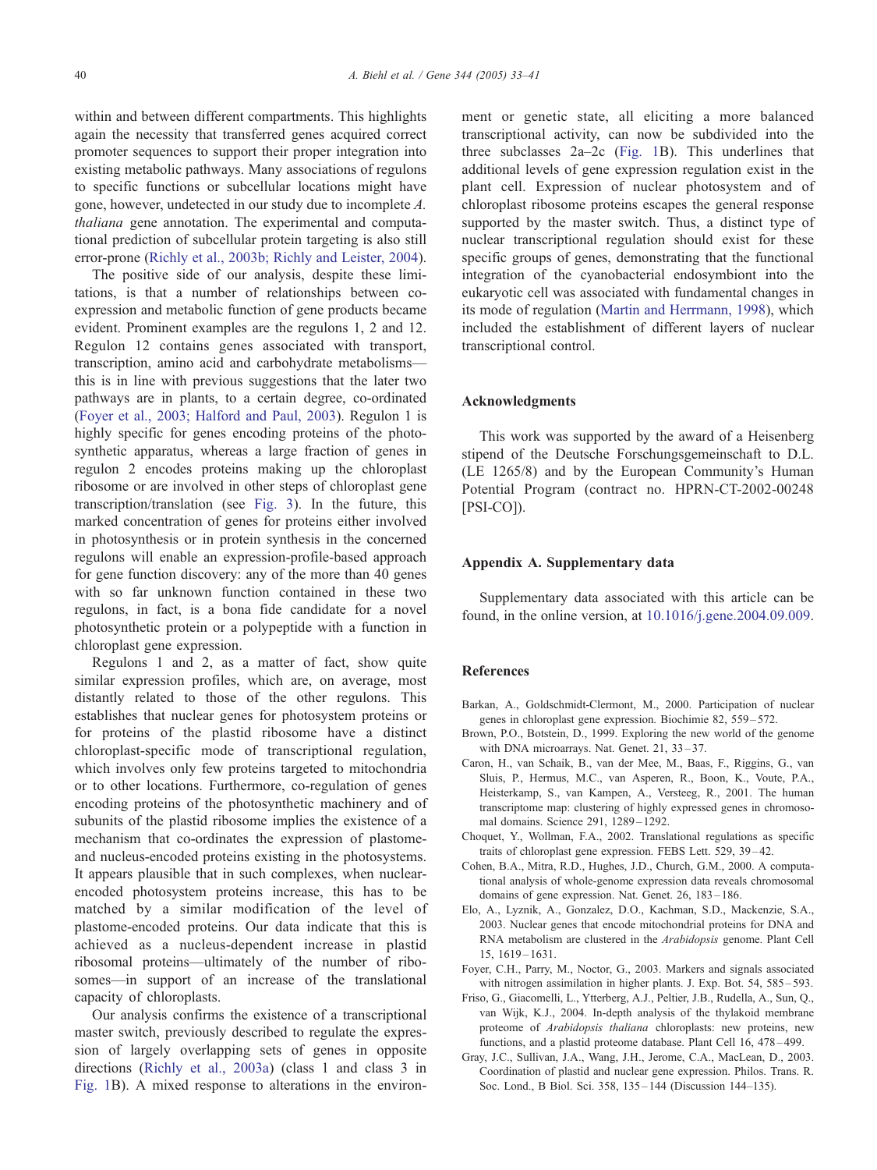<span id="page-7-0"></span>within and between different compartments. This highlights again the necessity that transferred genes acquired correct promoter sequences to support their proper integration into existing metabolic pathways. Many associations of regulons to specific functions or subcellular locations might have gone, however, undetected in our study due to incomplete A. thaliana gene annotation. The experimental and computational prediction of subcellular protein targeting is also still error-prone ([Richly et al., 2003b; Richly and Leister, 2004\)](#page-8-0).

The positive side of our analysis, despite these limitations, is that a number of relationships between coexpression and metabolic function of gene products became evident. Prominent examples are the regulons 1, 2 and 12. Regulon 12 contains genes associated with transport, transcription, amino acid and carbohydrate metabolisms this is in line with previous suggestions that the later two pathways are in plants, to a certain degree, co-ordinated (Foyer et al., 2003; Halford and Paul, 2003). Regulon 1 is highly specific for genes encoding proteins of the photosynthetic apparatus, whereas a large fraction of genes in regulon 2 encodes proteins making up the chloroplast ribosome or are involved in other steps of chloroplast gene transcription/translation (see [Fig. 3\)](#page-5-0). In the future, this marked concentration of genes for proteins either involved in photosynthesis or in protein synthesis in the concerned regulons will enable an expression-profile-based approach for gene function discovery: any of the more than 40 genes with so far unknown function contained in these two regulons, in fact, is a bona fide candidate for a novel photosynthetic protein or a polypeptide with a function in chloroplast gene expression.

Regulons 1 and 2, as a matter of fact, show quite similar expression profiles, which are, on average, most distantly related to those of the other regulons. This establishes that nuclear genes for photosystem proteins or for proteins of the plastid ribosome have a distinct chloroplast-specific mode of transcriptional regulation, which involves only few proteins targeted to mitochondria or to other locations. Furthermore, co-regulation of genes encoding proteins of the photosynthetic machinery and of subunits of the plastid ribosome implies the existence of a mechanism that co-ordinates the expression of plastomeand nucleus-encoded proteins existing in the photosystems. It appears plausible that in such complexes, when nuclearencoded photosystem proteins increase, this has to be matched by a similar modification of the level of plastome-encoded proteins. Our data indicate that this is achieved as a nucleus-dependent increase in plastid ribosomal proteins—ultimately of the number of ribosomes—in support of an increase of the translational capacity of chloroplasts.

Our analysis confirms the existence of a transcriptional master switch, previously described to regulate the expression of largely overlapping sets of genes in opposite directions ([Richly et al., 2003a\)](#page-8-0) (class 1 and class 3 in [Fig. 1B](#page-3-0)). A mixed response to alterations in the environment or genetic state, all eliciting a more balanced transcriptional activity, can now be subdivided into the three subclasses 2a–2c ([Fig. 1B](#page-3-0)). This underlines that additional levels of gene expression regulation exist in the plant cell. Expression of nuclear photosystem and of chloroplast ribosome proteins escapes the general response supported by the master switch. Thus, a distinct type of nuclear transcriptional regulation should exist for these specific groups of genes, demonstrating that the functional integration of the cyanobacterial endosymbiont into the eukaryotic cell was associated with fundamental changes in its mode of regulation ([Martin and Herrmann, 1998\)](#page-8-0), which included the establishment of different layers of nuclear transcriptional control.

## Acknowledgments

This work was supported by the award of a Heisenberg stipend of the Deutsche Forschungsgemeinschaft to D.L. (LE 1265/8) and by the European Community's Human Potential Program (contract no. HPRN-CT-2002-00248 [PSI-CO]).

## Appendix A. Supplementary data

Supplementary data associated with this article can be found, in the online version, at [10.1016/j.gene.2004.09.009.](http://dx.doi.org/doi:10.1016/j.gene.2004.09.009)

## References

- Barkan, A., Goldschmidt-Clermont, M., 2000. Participation of nuclear genes in chloroplast gene expression. Biochimie 82, 559 – 572.
- Brown, P.O., Botstein, D., 1999. Exploring the new world of the genome with DNA microarrays. Nat. Genet. 21, 33-37.
- Caron, H., van Schaik, B., van der Mee, M., Baas, F., Riggins, G., van Sluis, P., Hermus, M.C., van Asperen, R., Boon, K., Voute, P.A., Heisterkamp, S., van Kampen, A., Versteeg, R., 2001. The human transcriptome map: clustering of highly expressed genes in chromosomal domains. Science 291, 1289 – 1292.
- Choquet, Y., Wollman, F.A., 2002. Translational regulations as specific traits of chloroplast gene expression. FEBS Lett. 529, 39 – 42.
- Cohen, B.A., Mitra, R.D., Hughes, J.D., Church, G.M., 2000. A computational analysis of whole-genome expression data reveals chromosomal domains of gene expression. Nat. Genet. 26, 183-186.
- Elo, A., Lyznik, A., Gonzalez, D.O., Kachman, S.D., Mackenzie, S.A., 2003. Nuclear genes that encode mitochondrial proteins for DNA and RNA metabolism are clustered in the Arabidopsis genome. Plant Cell 15, 1619 – 1631.
- Foyer, C.H., Parry, M., Noctor, G., 2003. Markers and signals associated with nitrogen assimilation in higher plants. J. Exp. Bot. 54, 585–593.
- Friso, G., Giacomelli, L., Ytterberg, A.J., Peltier, J.B., Rudella, A., Sun, Q., van Wijk, K.J., 2004. In-depth analysis of the thylakoid membrane proteome of Arabidopsis thaliana chloroplasts: new proteins, new functions, and a plastid proteome database. Plant Cell 16, 478 – 499.
- Gray, J.C., Sullivan, J.A., Wang, J.H., Jerome, C.A., MacLean, D., 2003. Coordination of plastid and nuclear gene expression. Philos. Trans. R. Soc. Lond., B Biol. Sci. 358, 135 – 144 (Discussion 144–135).